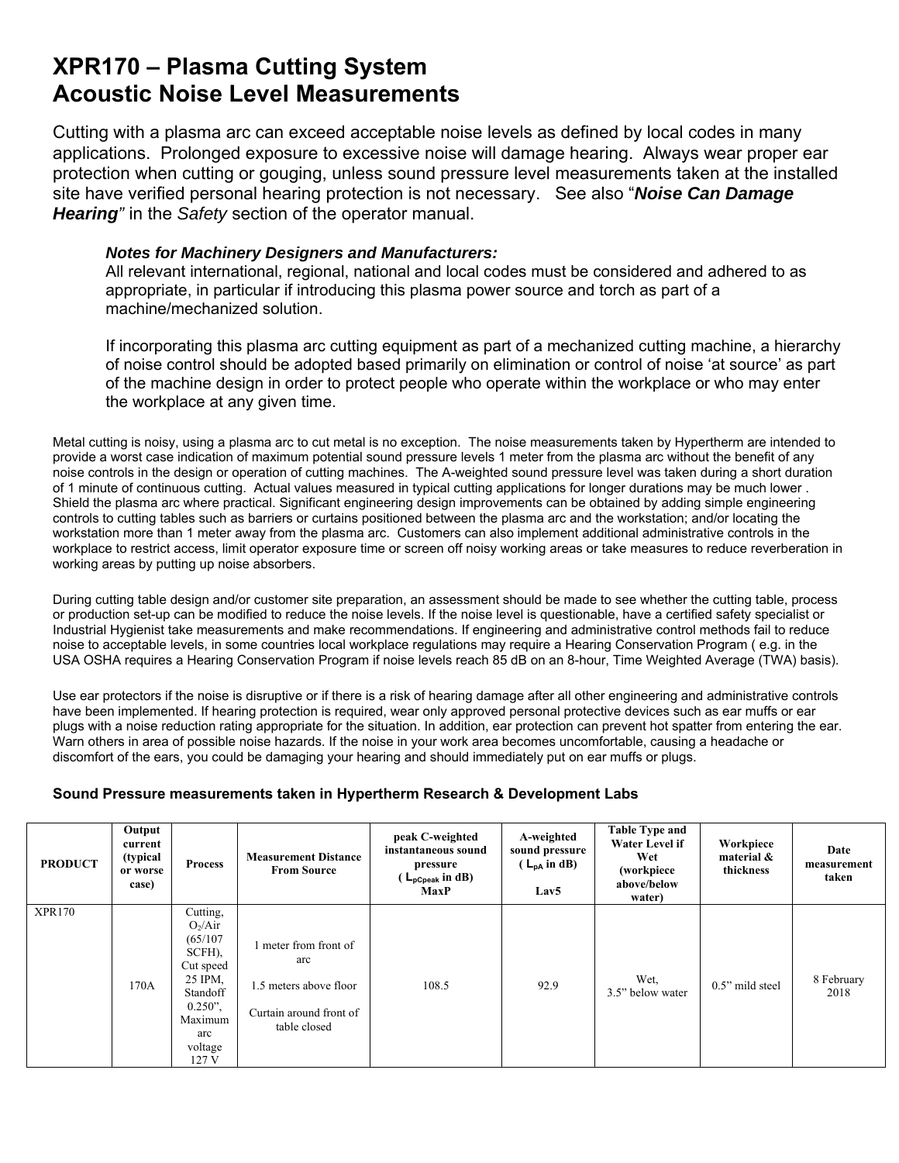## **XPR170 – Plasma Cutting System Acoustic Noise Level Measurements**

Cutting with a plasma arc can exceed acceptable noise levels as defined by local codes in many applications. Prolonged exposure to excessive noise will damage hearing. Always wear proper ear protection when cutting or gouging, unless sound pressure level measurements taken at the installed site have verified personal hearing protection is not necessary. See also "*Noise Can Damage Hearing"* in the *Safety* section of the operator manual.

## *Notes for Machinery Designers and Manufacturers:*

All relevant international, regional, national and local codes must be considered and adhered to as appropriate, in particular if introducing this plasma power source and torch as part of a machine/mechanized solution.

If incorporating this plasma arc cutting equipment as part of a mechanized cutting machine, a hierarchy of noise control should be adopted based primarily on elimination or control of noise 'at source' as part of the machine design in order to protect people who operate within the workplace or who may enter the workplace at any given time.

Metal cutting is noisy, using a plasma arc to cut metal is no exception. The noise measurements taken by Hypertherm are intended to provide a worst case indication of maximum potential sound pressure levels 1 meter from the plasma arc without the benefit of any noise controls in the design or operation of cutting machines. The A-weighted sound pressure level was taken during a short duration of 1 minute of continuous cutting. Actual values measured in typical cutting applications for longer durations may be much lower . Shield the plasma arc where practical. Significant engineering design improvements can be obtained by adding simple engineering controls to cutting tables such as barriers or curtains positioned between the plasma arc and the workstation; and/or locating the workstation more than 1 meter away from the plasma arc. Customers can also implement additional administrative controls in the workplace to restrict access, limit operator exposure time or screen off noisy working areas or take measures to reduce reverberation in working areas by putting up noise absorbers.

During cutting table design and/or customer site preparation, an assessment should be made to see whether the cutting table, process or production set-up can be modified to reduce the noise levels. If the noise level is questionable, have a certified safety specialist or Industrial Hygienist take measurements and make recommendations. If engineering and administrative control methods fail to reduce noise to acceptable levels, in some countries local workplace regulations may require a Hearing Conservation Program ( e.g. in the USA OSHA requires a Hearing Conservation Program if noise levels reach 85 dB on an 8-hour, Time Weighted Average (TWA) basis).

Use ear protectors if the noise is disruptive or if there is a risk of hearing damage after all other engineering and administrative controls have been implemented. If hearing protection is required, wear only approved personal protective devices such as ear muffs or ear plugs with a noise reduction rating appropriate for the situation. In addition, ear protection can prevent hot spatter from entering the ear. Warn others in area of possible noise hazards. If the noise in your work area becomes uncomfortable, causing a headache or discomfort of the ears, you could be damaging your hearing and should immediately put on ear muffs or plugs.

## **Sound Pressure measurements taken in Hypertherm Research & Development Labs**

| <b>PRODUCT</b> | Output<br>current<br>(typical<br>or worse<br>case) | <b>Process</b>                                                                                                                       | <b>Measurement Distance</b><br><b>From Source</b>                                               | peak C-weighted<br>instantaneous sound<br>pressure<br>$\mathsf{L}_{\mathsf{pCpeak}}$ in dB)<br><b>MaxP</b> | A-weighted<br>sound pressure<br>$(L_{DA}$ in dB)<br>Lav <sub>5</sub> | <b>Table Type and</b><br><b>Water Level if</b><br>Wet<br>(workpiece<br>above/below<br>water) | Workpiece<br>material &<br>thickness | Date<br>measurement<br>taken |
|----------------|----------------------------------------------------|--------------------------------------------------------------------------------------------------------------------------------------|-------------------------------------------------------------------------------------------------|------------------------------------------------------------------------------------------------------------|----------------------------------------------------------------------|----------------------------------------------------------------------------------------------|--------------------------------------|------------------------------|
| <b>XPR170</b>  | 170A                                               | Cutting,<br>$O_2/A$ ir<br>(65/107)<br>SCFH),<br>Cut speed<br>25 IPM,<br>Standoff<br>$0.250$ ",<br>Maximum<br>arc<br>voltage<br>127 V | meter from front of<br>arc<br>1.5 meters above floor<br>Curtain around front of<br>table closed | 108.5                                                                                                      | 92.9                                                                 | Wet,<br>3.5" below water                                                                     | 0.5" mild steel                      | 8 February<br>2018           |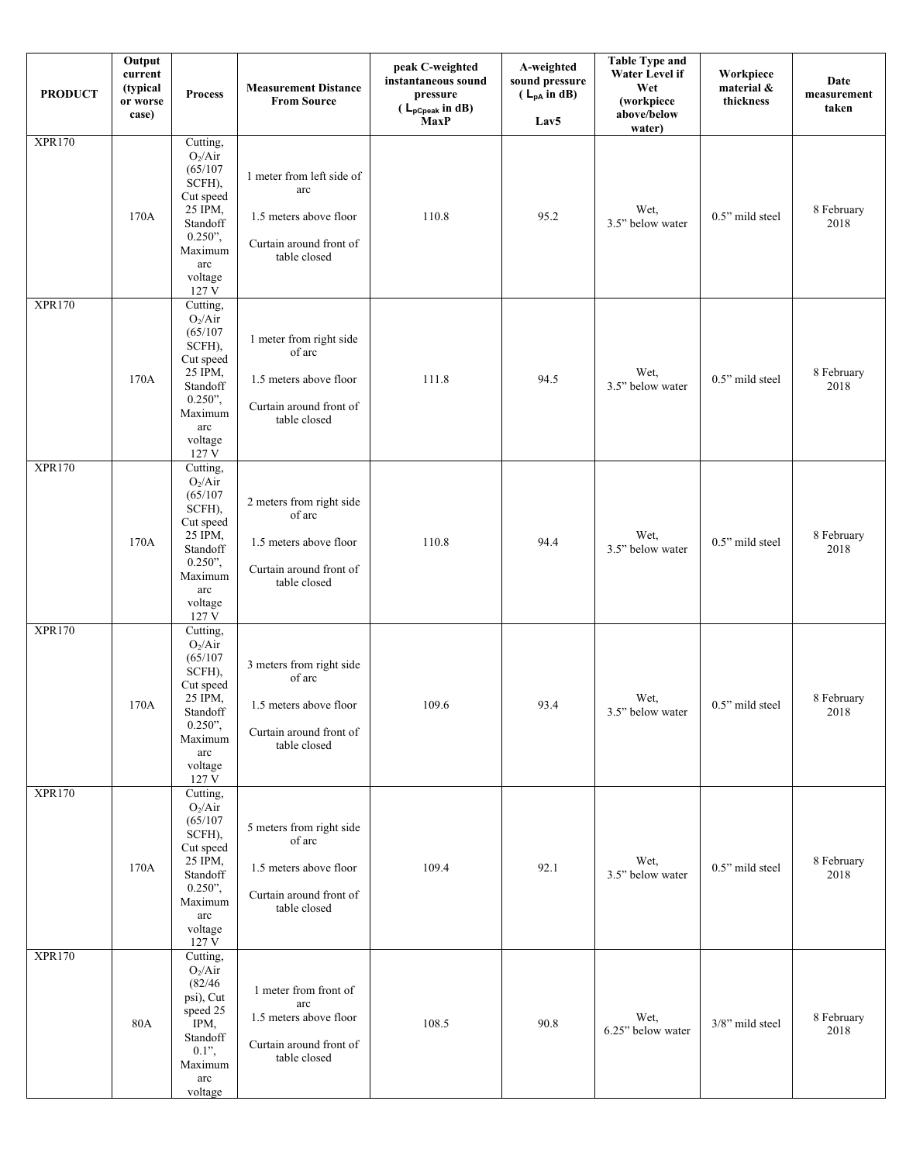| <b>PRODUCT</b> | Output<br>$\ensuremath{\mathbf{current}}\xspace$<br>(typical<br>or worse<br>case) | <b>Process</b>                                                                                                                                       | <b>Measurement Distance</b><br><b>From Source</b>                                                       | peak C-weighted<br>instantaneous sound<br>pressure<br>$(L_{pCpeak} \text{ in dB})$<br>MaxP | A-weighted<br>sound pressure<br>$(L_{pA}$ in dB)<br>Lav5 | <b>Table Type and</b><br>Water Level if<br>Wet<br>(workpiece<br>above/below<br>water) | Workpiece<br>material &<br>thickness | Date<br>measurement<br>taken |
|----------------|-----------------------------------------------------------------------------------|------------------------------------------------------------------------------------------------------------------------------------------------------|---------------------------------------------------------------------------------------------------------|--------------------------------------------------------------------------------------------|----------------------------------------------------------|---------------------------------------------------------------------------------------|--------------------------------------|------------------------------|
| <b>XPR170</b>  | 170A                                                                              | Cutting,<br>$O_2/Air$<br>(65/107)<br>SCFH),<br>Cut speed<br>25 IPM,<br>Standoff<br>$0.250$ ",<br>Maximum<br>arc<br>voltage<br>127 V                  | 1 meter from left side of<br>arc<br>1.5 meters above floor<br>Curtain around front of<br>table closed   | 110.8                                                                                      | 95.2                                                     | Wet,<br>3.5" below water                                                              | 0.5" mild steel                      | 8 February<br>2018           |
| <b>XPR170</b>  | 170A                                                                              | Cutting,<br>$O_2/Air$<br>(65/107)<br>SCFH),<br>Cut speed<br>25 IPM,<br>Standoff<br>$0.250$ ",<br>Maximum<br>arc<br>voltage<br>127 V                  | 1 meter from right side<br>of arc<br>1.5 meters above floor<br>Curtain around front of<br>table closed  | 111.8                                                                                      | 94.5                                                     | Wet,<br>3.5" below water                                                              | 0.5" mild steel                      | 8 February<br>2018           |
| <b>XPR170</b>  | 170A                                                                              | Cutting,<br>$O_2/Air$<br>(65/107)<br>SCFH),<br>Cut speed<br>25 IPM,<br>Standoff<br>$0.250$ ",<br>Maximum<br>$\operatorname{arc}$<br>voltage<br>127 V | 2 meters from right side<br>of arc<br>1.5 meters above floor<br>Curtain around front of<br>table closed | 110.8                                                                                      | 94.4                                                     | Wet,<br>3.5" below water                                                              | 0.5" mild steel                      | 8 February<br>2018           |
| <b>XPR170</b>  | 170A                                                                              | Cutting,<br>$O_2/Air$<br>(65/107)<br>SCFH),<br>Cut speed<br>25 IPM,<br>Standoff<br>$0.250$ ",<br>Maximum<br>arc<br>voltage<br>127 V                  | 3 meters from right side<br>of arc<br>1.5 meters above floor<br>Curtain around front of<br>table closed | 109.6                                                                                      | 93.4                                                     | Wet,<br>3.5" below water                                                              | 0.5" mild steel                      | 8 February<br>2018           |
| <b>XPR170</b>  | 170A                                                                              | Cutting,<br>$O_2/Air$<br>(65/107)<br>SCFH),<br>Cut speed<br>25 IPM,<br>Standoff<br>$0.250$ ",<br>Maximum<br>arc<br>voltage<br>127 V                  | 5 meters from right side<br>of arc<br>1.5 meters above floor<br>Curtain around front of<br>table closed | 109.4                                                                                      | 92.1                                                     | Wet,<br>3.5" below water                                                              | 0.5" mild steel                      | 8 February<br>2018           |
| <b>XPR170</b>  | 80A                                                                               | Cutting,<br>$O_2/Air$<br>(82/46)<br>psi), Cut<br>speed 25<br>IPM,<br>Standoff<br>$0.1$ ",<br>Maximum<br>arc<br>voltage                               | 1 meter from front of<br>arc<br>1.5 meters above floor<br>Curtain around front of<br>table closed       | 108.5                                                                                      | 90.8                                                     | Wet,<br>6.25" below water                                                             | 3/8" mild steel                      | 8 February<br>2018           |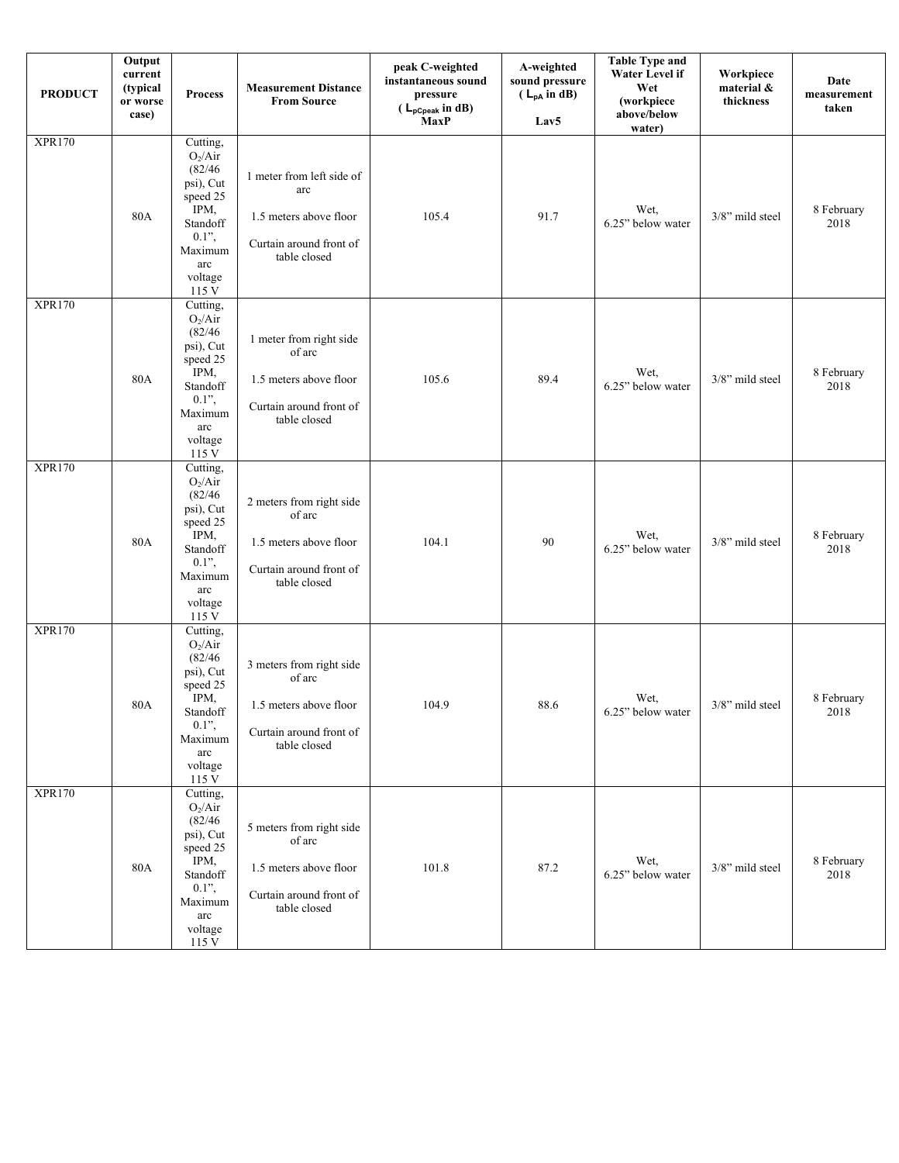| <b>PRODUCT</b> | Output<br>current<br>(typical<br>or worse<br>case) | <b>Process</b>                                                                                                                   | <b>Measurement Distance</b><br><b>From Source</b>                                                       | peak C-weighted<br>instantaneous sound<br>pressure<br>$(L_{pCpeak} \text{ in dB})$<br><b>MaxP</b> | A-weighted<br>sound pressure<br>$(L_{pA}$ in dB)<br>Lav5 | <b>Table Type and</b><br>Water Level if<br>Wet<br>(workpiece<br>above/below<br>water) | Workpiece<br>material &<br>thickness | Date<br>measurement<br>taken |
|----------------|----------------------------------------------------|----------------------------------------------------------------------------------------------------------------------------------|---------------------------------------------------------------------------------------------------------|---------------------------------------------------------------------------------------------------|----------------------------------------------------------|---------------------------------------------------------------------------------------|--------------------------------------|------------------------------|
| <b>XPR170</b>  | 80A                                                | Cutting,<br>$O_2/Air$<br>(82/46)<br>psi), Cut<br>speed 25<br>IPM,<br>Standoff<br>$0.1$ ",<br>Maximum<br>arc<br>voltage<br>115 V  | 1 meter from left side of<br>arc<br>1.5 meters above floor<br>Curtain around front of<br>table closed   | 105.4                                                                                             | 91.7                                                     | Wet,<br>6.25" below water                                                             | 3/8" mild steel                      | 8 February<br>2018           |
| <b>XPR170</b>  | 80A                                                | Cutting,<br>$O_2/Air$<br>(82/46)<br>psi), Cut<br>speed 25<br>IPM,<br>Standoff<br>$0.1$ ",<br>Maximum<br>arc<br>voltage<br>115 V  | 1 meter from right side<br>of arc<br>1.5 meters above floor<br>Curtain around front of<br>table closed  | 105.6                                                                                             | 89.4                                                     | Wet,<br>6.25" below water                                                             | 3/8" mild steel                      | 8 February<br>2018           |
| <b>XPR170</b>  | 80A                                                | Cutting,<br>$O_2/Air$<br>(82/46)<br>psi), Cut<br>speed 25<br>IPM,<br>Standoff<br>$0.1$ ",<br>Maximum<br>arc<br>voltage<br>115 V  | 2 meters from right side<br>of arc<br>1.5 meters above floor<br>Curtain around front of<br>table closed | 104.1                                                                                             | 90                                                       | Wet,<br>6.25" below water                                                             | 3/8" mild steel                      | 8 February<br>2018           |
| <b>XPR170</b>  | 80A                                                | Cutting,<br>$O_2/Air$<br>(82/46)<br>psi), Cut<br>speed 25<br>IPM,<br>Standoff<br>$0.1$ ",<br>Maximum<br>arc<br>voltage<br>115 V  | 3 meters from right side<br>of arc<br>1.5 meters above floor<br>Curtain around front of<br>table closed | 104.9                                                                                             | 88.6                                                     | Wet,<br>6.25" below water                                                             | 3/8" mild steel                      | 8 February<br>2018           |
| <b>XPR170</b>  | 80A                                                | Cutting,<br>$O_2/A$ ir<br>(82/46)<br>psi), Cut<br>speed 25<br>IPM,<br>Standoff<br>$0.1$ ",<br>Maximum<br>arc<br>voltage<br>115 V | 5 meters from right side<br>of arc<br>1.5 meters above floor<br>Curtain around front of<br>table closed | 101.8                                                                                             | 87.2                                                     | Wet,<br>6.25" below water                                                             | 3/8" mild steel                      | 8 February<br>2018           |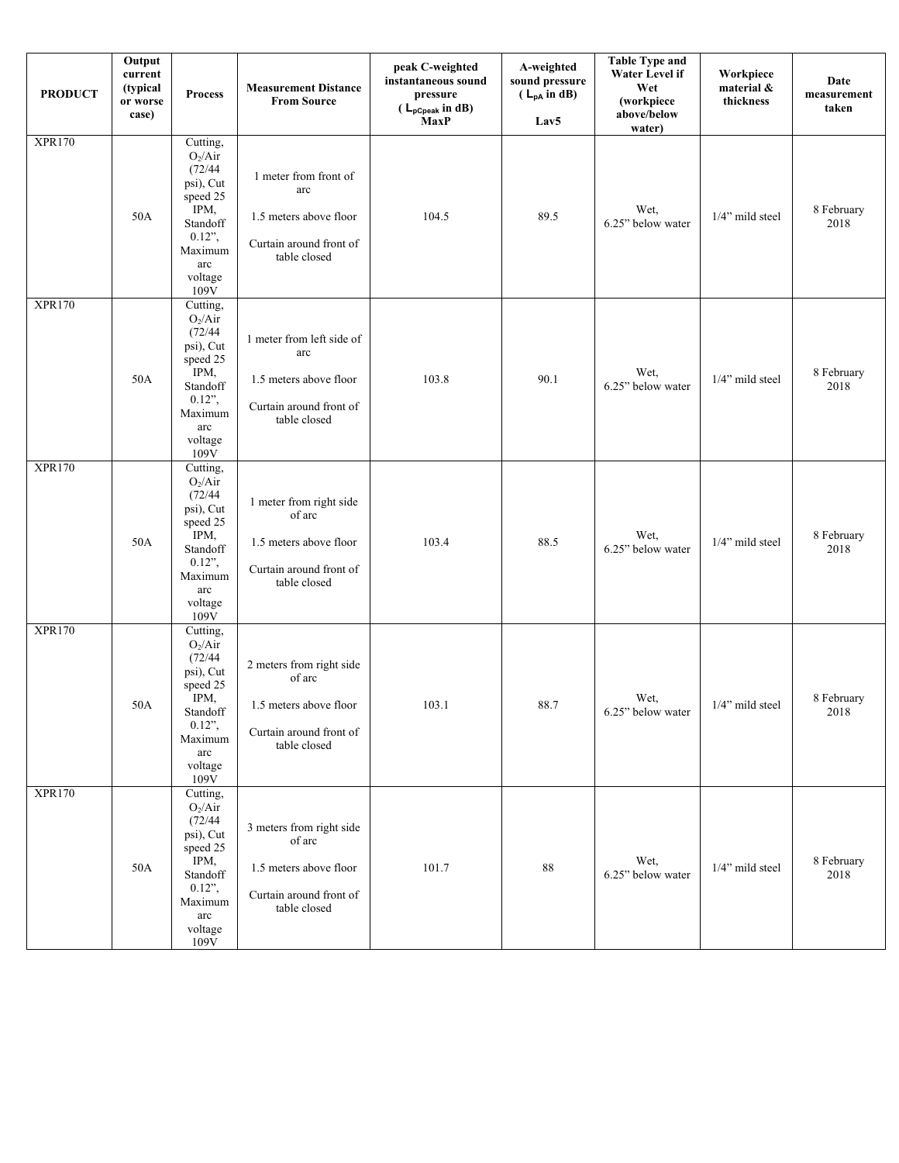| <b>PRODUCT</b> | Output<br>current<br>(typical<br>or worse<br>case) | <b>Process</b>                                                                                                                          | <b>Measurement Distance</b><br><b>From Source</b>                                                       | peak C-weighted<br>instantaneous sound<br>pressure<br>$(L_{pCpeak} \text{ in dB})$<br><b>MaxP</b> | A-weighted<br>sound pressure<br>$(L_{pA}$ in dB)<br>Lav <sub>5</sub> | <b>Table Type and</b><br>Water Level if<br>Wet<br>(workpiece<br>above/below<br>water) | Workpiece<br>material &<br>thickness | Date<br>measurement<br>taken |
|----------------|----------------------------------------------------|-----------------------------------------------------------------------------------------------------------------------------------------|---------------------------------------------------------------------------------------------------------|---------------------------------------------------------------------------------------------------|----------------------------------------------------------------------|---------------------------------------------------------------------------------------|--------------------------------------|------------------------------|
| <b>XPR170</b>  | 50A                                                | Cutting,<br>$O_2/Air$<br>(72/44)<br>psi), Cut<br>speed 25<br>IPM,<br>Standoff<br>$0.12$ ",<br>Maximum<br>arc<br>voltage<br>109V         | 1 meter from front of<br>arc<br>1.5 meters above floor<br>Curtain around front of<br>table closed       | 104.5                                                                                             | 89.5                                                                 | Wet,<br>6.25" below water                                                             | 1/4" mild steel                      | 8 February<br>2018           |
| <b>XPR170</b>  | 50A                                                | Cutting,<br>$O_2/Air$<br>(72/44)<br>psi), Cut<br>speed 25<br>IPM,<br>Standoff<br>$0.12$ ",<br>Maximum<br>arc<br>voltage<br>$109\bar{V}$ | 1 meter from left side of<br>arc<br>1.5 meters above floor<br>Curtain around front of<br>table closed   | 103.8                                                                                             | 90.1                                                                 | Wet,<br>6.25" below water                                                             | 1/4" mild steel                      | 8 February<br>2018           |
| <b>XPR170</b>  | 50A                                                | Cutting,<br>$O_2/Air$<br>(72/44)<br>psi), Cut<br>speed 25<br>IPM,<br>Standoff<br>$0.12$ ",<br>Maximum<br>arc<br>voltage<br>109V         | 1 meter from right side<br>of arc<br>1.5 meters above floor<br>Curtain around front of<br>table closed  | 103.4                                                                                             | 88.5                                                                 | Wet,<br>6.25" below water                                                             | 1/4" mild steel                      | 8 February<br>2018           |
| <b>XPR170</b>  | 50A                                                | Cutting,<br>$O_2/Air$<br>(72/44)<br>psi), Cut<br>speed 25<br>IPM,<br>Standoff<br>$0.12$ ",<br>Maximum<br>arc<br>voltage<br>109V         | 2 meters from right side<br>of arc<br>1.5 meters above floor<br>Curtain around front of<br>table closed | 103.1                                                                                             | 88.7                                                                 | Wet,<br>6.25" below water                                                             | 1/4" mild steel                      | 8 February<br>2018           |
| <b>XPR170</b>  | 50A                                                | Cutting,<br>$O_2/Air$<br>(72/44)<br>psi), Cut<br>speed 25<br>IPM,<br>Standoff<br>$0.12$ ",<br>Maximum<br>arc<br>voltage<br>$109\bar{V}$ | 3 meters from right side<br>of arc<br>1.5 meters above floor<br>Curtain around front of<br>table closed | 101.7                                                                                             | 88                                                                   | Wet,<br>6.25" below water                                                             | 1/4" mild steel                      | 8 February<br>2018           |